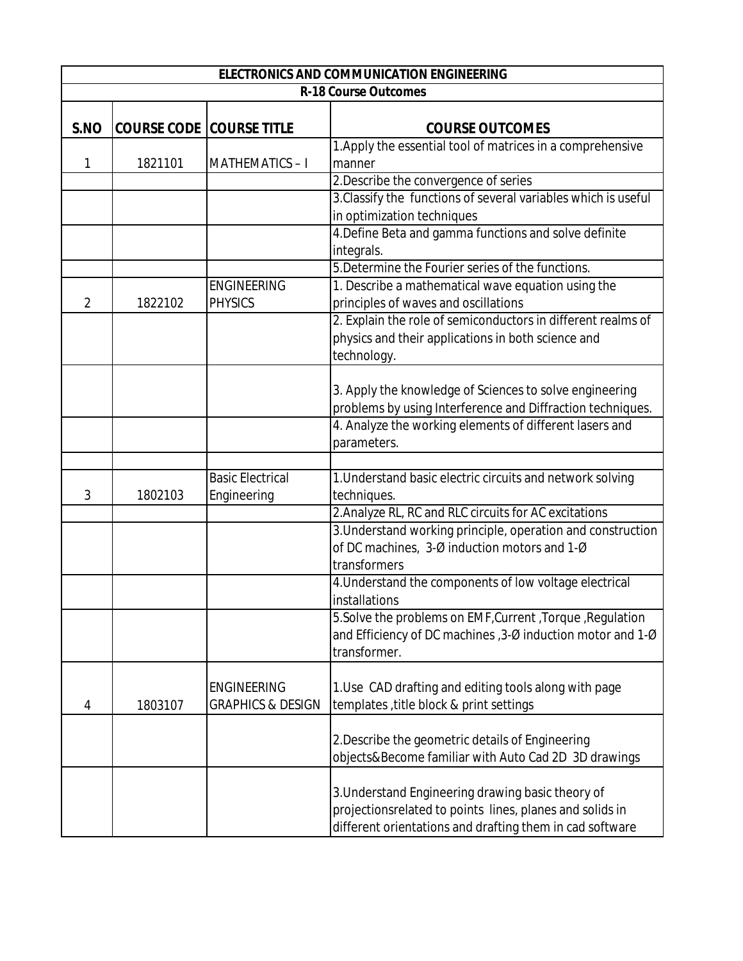| <b>ELECTRONICS AND COMMUNICATION ENGINEERING</b> |                                 |                         |                                                                |  |
|--------------------------------------------------|---------------------------------|-------------------------|----------------------------------------------------------------|--|
| <b>R-18 Course Outcomes</b>                      |                                 |                         |                                                                |  |
| S.NO                                             | <b>COURSE CODE COURSE TITLE</b> |                         | <b>COURSE OUTCOMES</b>                                         |  |
|                                                  |                                 |                         | 1. Apply the essential tool of matrices in a comprehensive     |  |
| 1                                                | 1821101                         | <b>MATHEMATICS-I</b>    | manner                                                         |  |
|                                                  |                                 |                         | 2. Describe the convergence of series                          |  |
|                                                  |                                 |                         | 3. Classify the functions of several variables which is useful |  |
|                                                  |                                 |                         | in optimization techniques                                     |  |
|                                                  |                                 |                         | 4. Define Beta and gamma functions and solve definite          |  |
|                                                  |                                 |                         | integrals.                                                     |  |
|                                                  |                                 |                         | 5. Determine the Fourier series of the functions.              |  |
|                                                  |                                 | <b>ENGINEERING</b>      | 1. Describe a mathematical wave equation using the             |  |
| $\overline{2}$                                   | 1822102                         | <b>PHYSICS</b>          | principles of waves and oscillations                           |  |
|                                                  |                                 |                         | 2. Explain the role of semiconductors in different realms of   |  |
|                                                  |                                 |                         | physics and their applications in both science and             |  |
|                                                  |                                 |                         | technology.                                                    |  |
|                                                  |                                 |                         |                                                                |  |
|                                                  |                                 |                         | 3. Apply the knowledge of Sciences to solve engineering        |  |
|                                                  |                                 |                         | problems by using Interference and Diffraction techniques.     |  |
|                                                  |                                 |                         | 4. Analyze the working elements of different lasers and        |  |
|                                                  |                                 |                         | parameters.                                                    |  |
|                                                  |                                 |                         |                                                                |  |
|                                                  |                                 | <b>Basic Electrical</b> | 1. Understand basic electric circuits and network solving      |  |
| 3                                                | 1802103                         | Engineering             | techniques.                                                    |  |
|                                                  |                                 |                         | 2. Analyze RL, RC and RLC circuits for AC excitations          |  |
|                                                  |                                 |                         | 3. Understand working principle, operation and construction    |  |
|                                                  |                                 |                         | of DC machines, 3-Ø induction motors and 1-Ø                   |  |
|                                                  |                                 |                         | transformers                                                   |  |
|                                                  |                                 |                         | 4. Understand the components of low voltage electrical         |  |
|                                                  |                                 |                         | installations                                                  |  |
|                                                  |                                 |                         | 5. Solve the problems on EMF, Current, Torque, Regulation      |  |
|                                                  |                                 |                         | and Efficiency of DC machines, 3-Ø induction motor and 1-Ø     |  |
|                                                  |                                 |                         | transformer.                                                   |  |
|                                                  |                                 |                         |                                                                |  |
|                                                  |                                 | <b>ENGINEERING</b>      | 1. Use CAD drafting and editing tools along with page          |  |
| 4                                                | 1803107                         | GRAPHICS & DESIGN       | templates, title block & print settings                        |  |
|                                                  |                                 |                         |                                                                |  |
|                                                  |                                 |                         | 2. Describe the geometric details of Engineering               |  |
|                                                  |                                 |                         | objects&Become familiar with Auto Cad 2D 3D drawings           |  |
|                                                  |                                 |                         |                                                                |  |
|                                                  |                                 |                         | 3. Understand Engineering drawing basic theory of              |  |
|                                                  |                                 |                         | projectionsrelated to points lines, planes and solids in       |  |
|                                                  |                                 |                         | different orientations and drafting them in cad software       |  |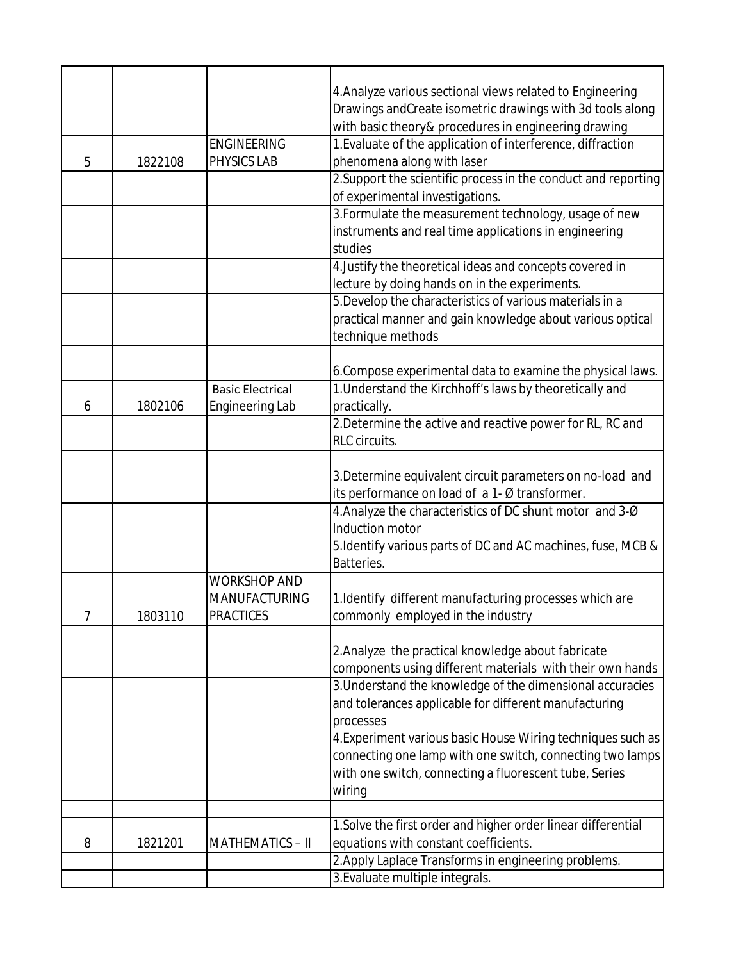|   |         |                         | 4. Analyze various sectional views related to Engineering      |
|---|---------|-------------------------|----------------------------------------------------------------|
|   |         |                         | Drawings and Create isometric drawings with 3d tools along     |
|   |         |                         | with basic theory& procedures in engineering drawing           |
|   |         | <b>ENGINEERING</b>      | 1. Evaluate of the application of interference, diffraction    |
| 5 | 1822108 | <b>PHYSICS LAB</b>      | phenomena along with laser                                     |
|   |         |                         | 2. Support the scientific process in the conduct and reporting |
|   |         |                         | of experimental investigations.                                |
|   |         |                         | 3. Formulate the measurement technology, usage of new          |
|   |         |                         | instruments and real time applications in engineering          |
|   |         |                         | studies                                                        |
|   |         |                         | 4. Justify the theoretical ideas and concepts covered in       |
|   |         |                         | lecture by doing hands on in the experiments.                  |
|   |         |                         | 5. Develop the characteristics of various materials in a       |
|   |         |                         | practical manner and gain knowledge about various optical      |
|   |         |                         | technique methods                                              |
|   |         |                         |                                                                |
|   |         |                         | 6. Compose experimental data to examine the physical laws.     |
|   |         | <b>Basic Electrical</b> | 1. Understand the Kirchhoff's laws by theoretically and        |
| 6 | 1802106 | <b>Engineering Lab</b>  | practically.                                                   |
|   |         |                         | 2. Determine the active and reactive power for RL, RC and      |
|   |         |                         | <b>RLC</b> circuits.                                           |
|   |         |                         |                                                                |
|   |         |                         | 3. Determine equivalent circuit parameters on no-load and      |
|   |         |                         | its performance on load of a 1- Ø transformer.                 |
|   |         |                         | 4. Analyze the characteristics of DC shunt motor and 3-Ø       |
|   |         |                         | Induction motor                                                |
|   |         |                         | 5. Identify various parts of DC and AC machines, fuse, MCB &   |
|   |         |                         |                                                                |
|   |         | <b>WORKSHOP AND</b>     | Batteries.                                                     |
|   |         |                         |                                                                |
|   |         | <b>MANUFACTURING</b>    | 1. Identify different manufacturing processes which are        |
|   | 1803110 | <b>PRACTICES</b>        | commonly employed in the industry                              |
|   |         |                         |                                                                |
|   |         |                         | 2. Analyze the practical knowledge about fabricate             |
|   |         |                         | components using different materials with their own hands      |
|   |         |                         | 3. Understand the knowledge of the dimensional accuracies      |
|   |         |                         | and tolerances applicable for different manufacturing          |
|   |         |                         | processes                                                      |
|   |         |                         | 4. Experiment various basic House Wiring techniques such as    |
|   |         |                         | connecting one lamp with one switch, connecting two lamps      |
|   |         |                         | with one switch, connecting a fluorescent tube, Series         |
|   |         |                         | wiring                                                         |
|   |         |                         |                                                                |
|   |         |                         | 1. Solve the first order and higher order linear differential  |
| 8 | 1821201 | <b>MATHEMATICS - II</b> | equations with constant coefficients.                          |
|   |         |                         | 2. Apply Laplace Transforms in engineering problems.           |
|   |         |                         | 3. Evaluate multiple integrals.                                |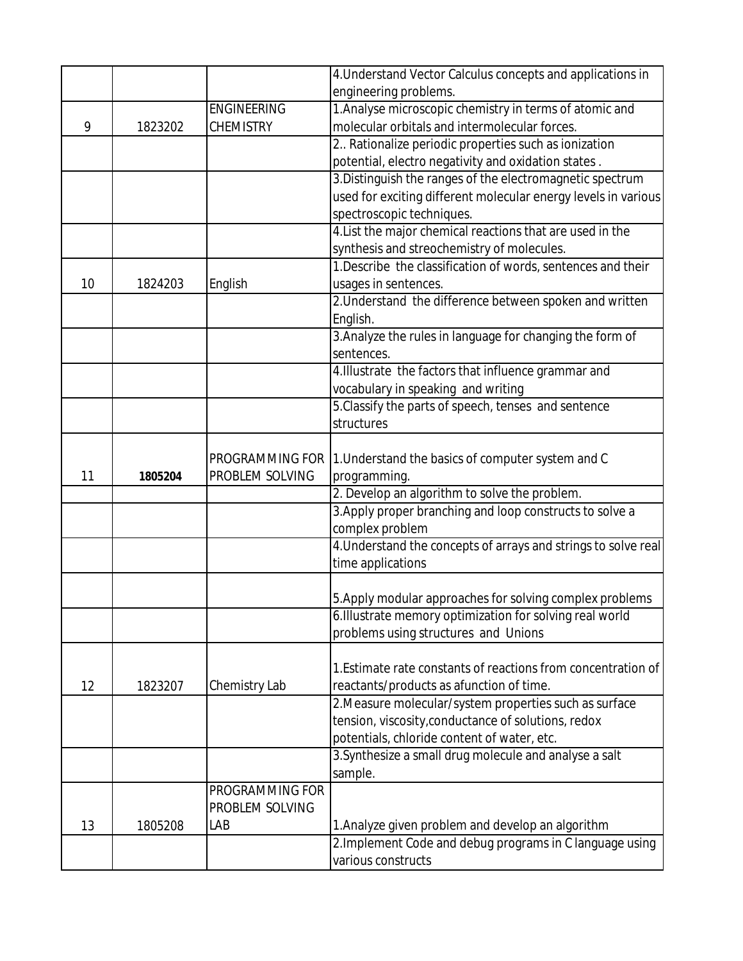|    |         |                                    | 4. Understand Vector Calculus concepts and applications in     |
|----|---------|------------------------------------|----------------------------------------------------------------|
|    |         |                                    | engineering problems.                                          |
|    |         | <b>ENGINEERING</b>                 | 1. Analyse microscopic chemistry in terms of atomic and        |
| 9  | 1823202 | <b>CHEMISTRY</b>                   | molecular orbitals and intermolecular forces.                  |
|    |         |                                    | 2. Rationalize periodic properties such as ionization          |
|    |         |                                    | potential, electro negativity and oxidation states.            |
|    |         |                                    | 3. Distinguish the ranges of the electromagnetic spectrum      |
|    |         |                                    | used for exciting different molecular energy levels in various |
|    |         |                                    | spectroscopic techniques.                                      |
|    |         |                                    | 4. List the major chemical reactions that are used in the      |
|    |         |                                    | synthesis and streochemistry of molecules.                     |
|    |         |                                    | 1. Describe the classification of words, sentences and their   |
| 10 | 1824203 | English                            | usages in sentences.                                           |
|    |         |                                    | 2. Understand the difference between spoken and written        |
|    |         |                                    | English.                                                       |
|    |         |                                    | 3. Analyze the rules in language for changing the form of      |
|    |         |                                    | sentences.                                                     |
|    |         |                                    | 4. Illustrate the factors that influence grammar and           |
|    |         |                                    | vocabulary in speaking and writing                             |
|    |         |                                    | 5. Classify the parts of speech, tenses and sentence           |
|    |         |                                    | structures                                                     |
|    |         |                                    |                                                                |
| 11 |         | PROGRAMMING FOR<br>PROBLEM SOLVING | 1. Understand the basics of computer system and C              |
|    | 1805204 |                                    | programming.<br>2. Develop an algorithm to solve the problem.  |
|    |         |                                    | 3. Apply proper branching and loop constructs to solve a       |
|    |         |                                    | complex problem                                                |
|    |         |                                    | 4. Understand the concepts of arrays and strings to solve real |
|    |         |                                    | time applications                                              |
|    |         |                                    |                                                                |
|    |         |                                    | 5. Apply modular approaches for solving complex problems       |
|    |         |                                    | 6. Illustrate memory optimization for solving real world       |
|    |         |                                    | problems using structures and Unions                           |
|    |         |                                    |                                                                |
|    |         |                                    | 1. Estimate rate constants of reactions from concentration of  |
| 12 | 1823207 | Chemistry Lab                      | reactants/products as afunction of time.                       |
|    |         |                                    | 2. Measure molecular/system properties such as surface         |
|    |         |                                    | tension, viscosity, conductance of solutions, redox            |
|    |         |                                    | potentials, chloride content of water, etc.                    |
|    |         |                                    | 3. Synthesize a small drug molecule and analyse a salt         |
|    |         |                                    | sample.                                                        |
|    |         | <b>PROGRAMMING FOR</b>             |                                                                |
|    |         | PROBLEM SOLVING                    |                                                                |
| 13 | 1805208 | LAB                                | 1. Analyze given problem and develop an algorithm              |
|    |         |                                    | 2. Implement Code and debug programs in C language using       |
|    |         |                                    | various constructs                                             |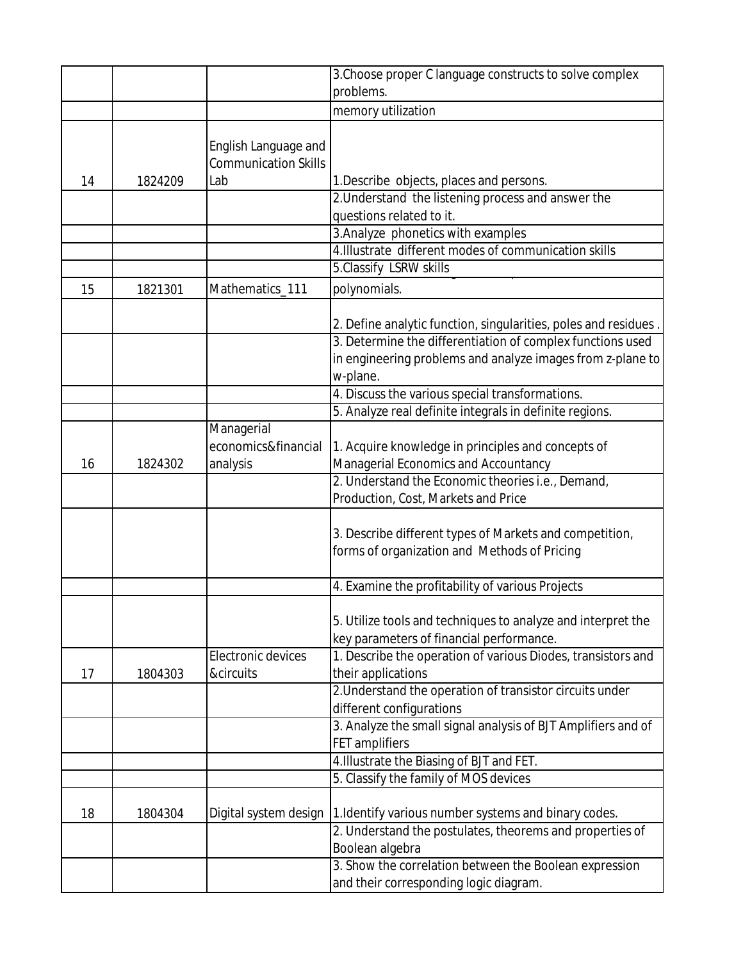|    |         |                             | 3. Choose proper C language constructs to solve complex                                                 |
|----|---------|-----------------------------|---------------------------------------------------------------------------------------------------------|
|    |         |                             | problems.                                                                                               |
|    |         |                             | memory utilization                                                                                      |
|    |         |                             |                                                                                                         |
|    |         | English Language and        |                                                                                                         |
|    |         | <b>Communication Skills</b> |                                                                                                         |
| 14 | 1824209 | Lab                         | 1. Describe objects, places and persons.                                                                |
|    |         |                             | 2. Understand the listening process and answer the<br>questions related to it.                          |
|    |         |                             | 3. Analyze phonetics with examples                                                                      |
|    |         |                             | 4. Illustrate different modes of communication skills                                                   |
|    |         |                             | 5.Classify LSRW skills                                                                                  |
| 15 | 1821301 | Mathematics_111             | polynomials.                                                                                            |
|    |         |                             |                                                                                                         |
|    |         |                             | 2. Define analytic function, singularities, poles and residues.                                         |
|    |         |                             | 3. Determine the differentiation of complex functions used                                              |
|    |         |                             | in engineering problems and analyze images from z-plane to                                              |
|    |         |                             | w-plane.                                                                                                |
|    |         |                             | 4. Discuss the various special transformations.                                                         |
|    |         |                             | 5. Analyze real definite integrals in definite regions.                                                 |
|    |         | Managerial                  |                                                                                                         |
|    |         | economics&financial         | 1. Acquire knowledge in principles and concepts of                                                      |
| 16 | 1824302 | analysis                    | Managerial Economics and Accountancy                                                                    |
|    |         |                             | 2. Understand the Economic theories i.e., Demand,                                                       |
|    |         |                             | Production, Cost, Markets and Price                                                                     |
|    |         |                             |                                                                                                         |
|    |         |                             | 3. Describe different types of Markets and competition,<br>forms of organization and Methods of Pricing |
|    |         |                             |                                                                                                         |
|    |         |                             | 4. Examine the profitability of various Projects                                                        |
|    |         |                             |                                                                                                         |
|    |         |                             | 5. Utilize tools and techniques to analyze and interpret the                                            |
|    |         |                             | key parameters of financial performance.                                                                |
|    |         | Electronic devices          | 1. Describe the operation of various Diodes, transistors and                                            |
| 17 | 1804303 | &circuits                   | their applications                                                                                      |
|    |         |                             | 2. Understand the operation of transistor circuits under                                                |
|    |         |                             | different configurations                                                                                |
|    |         |                             | 3. Analyze the small signal analysis of BJT Amplifiers and of                                           |
|    |         |                             | FET amplifiers                                                                                          |
|    |         |                             | 4. Illustrate the Biasing of BJT and FET.                                                               |
|    |         |                             | 5. Classify the family of MOS devices                                                                   |
| 18 | 1804304 | Digital system design       | 1. Identify various number systems and binary codes.                                                    |
|    |         |                             | 2. Understand the postulates, theorems and properties of                                                |
|    |         |                             | Boolean algebra                                                                                         |
|    |         |                             | 3. Show the correlation between the Boolean expression                                                  |
|    |         |                             | and their corresponding logic diagram.                                                                  |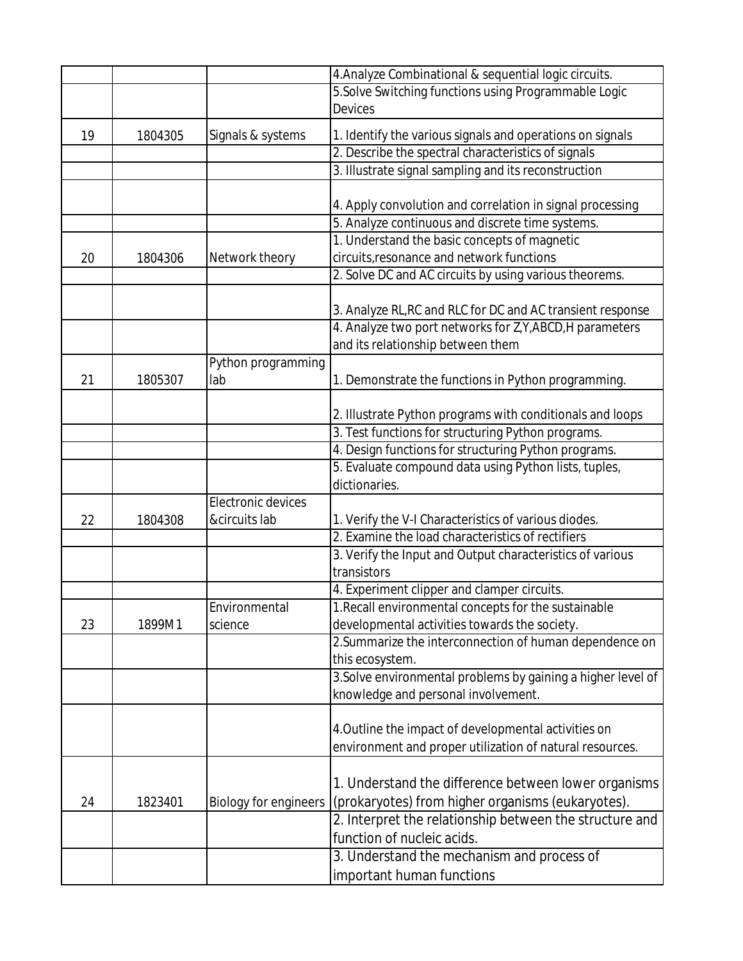|    |         |                              | 4. Analyze Combinational & sequential logic circuits.        |
|----|---------|------------------------------|--------------------------------------------------------------|
|    |         |                              | 5. Solve Switching functions using Programmable Logic        |
|    |         |                              | <b>Devices</b>                                               |
| 19 | 1804305 | Signals & systems            | 1. Identify the various signals and operations on signals    |
|    |         |                              | 2. Describe the spectral characteristics of signals          |
|    |         |                              | 3. Illustrate signal sampling and its reconstruction         |
|    |         |                              |                                                              |
|    |         |                              | 4. Apply convolution and correlation in signal processing    |
|    |         |                              | 5. Analyze continuous and discrete time systems.             |
|    |         |                              | 1. Understand the basic concepts of magnetic                 |
| 20 | 1804306 | Network theory               | circuits, resonance and network functions                    |
|    |         |                              | 2. Solve DC and AC circuits by using various theorems.       |
|    |         |                              |                                                              |
|    |         |                              | 3. Analyze RL, RC and RLC for DC and AC transient response   |
|    |         |                              | 4. Analyze two port networks for Z, Y, ABCD, H parameters    |
|    |         |                              | and its relationship between them                            |
|    |         | Python programming           |                                                              |
| 21 | 1805307 | lab                          | 1. Demonstrate the functions in Python programming.          |
|    |         |                              |                                                              |
|    |         |                              | 2. Illustrate Python programs with conditionals and loops    |
|    |         |                              | 3. Test functions for structuring Python programs.           |
|    |         |                              | 4. Design functions for structuring Python programs.         |
|    |         |                              | 5. Evaluate compound data using Python lists, tuples,        |
|    |         |                              | dictionaries.                                                |
|    |         | Electronic devices           |                                                              |
| 22 | 1804308 | &circuits lab                | 1. Verify the V-I Characteristics of various diodes.         |
|    |         |                              | 2. Examine the load characteristics of rectifiers            |
|    |         |                              | 3. Verify the Input and Output characteristics of various    |
|    |         |                              | transistors                                                  |
|    |         |                              | 4. Experiment clipper and clamper circuits.                  |
|    |         | Environmental                | 1. Recall environmental concepts for the sustainable         |
| 23 | 1899M1  | science                      | developmental activities towards the society.                |
|    |         |                              | 2. Summarize the interconnection of human dependence on      |
|    |         |                              | this ecosystem.                                              |
|    |         |                              | 3. Solve environmental problems by gaining a higher level of |
|    |         |                              | knowledge and personal involvement.                          |
|    |         |                              | 4. Outline the impact of developmental activities on         |
|    |         |                              |                                                              |
|    |         |                              | environment and proper utilization of natural resources.     |
|    |         |                              | 1. Understand the difference between lower organisms         |
| 24 | 1823401 | <b>Biology for engineers</b> | (prokaryotes) from higher organisms (eukaryotes).            |
|    |         |                              | 2. Interpret the relationship between the structure and      |
|    |         |                              | function of nucleic acids.                                   |
|    |         |                              | 3. Understand the mechanism and process of                   |
|    |         |                              | important human functions                                    |
|    |         |                              |                                                              |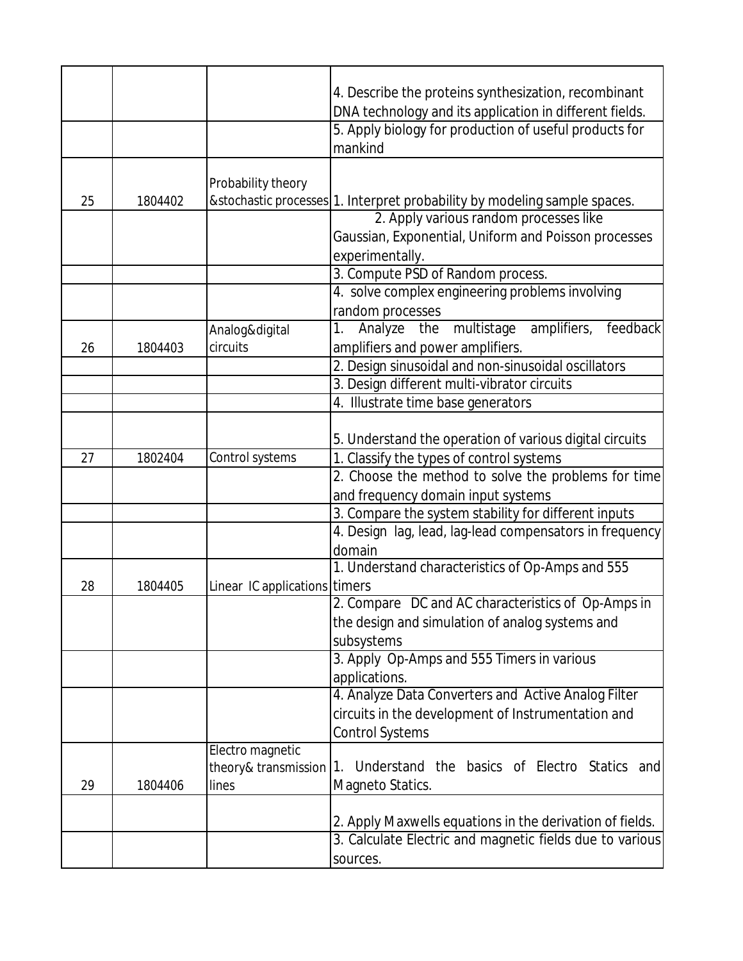|    |         |                               | 4. Describe the proteins synthesization, recombinant                       |
|----|---------|-------------------------------|----------------------------------------------------------------------------|
|    |         |                               | DNA technology and its application in different fields.                    |
|    |         |                               | 5. Apply biology for production of useful products for                     |
|    |         |                               | mankind                                                                    |
|    |         |                               |                                                                            |
|    |         | Probability theory            |                                                                            |
| 25 | 1804402 |                               | & stochastic processes 1. Interpret probability by modeling sample spaces. |
|    |         |                               | 2. Apply various random processes like                                     |
|    |         |                               | Gaussian, Exponential, Uniform and Poisson processes                       |
|    |         |                               | experimentally.                                                            |
|    |         |                               | 3. Compute PSD of Random process.                                          |
|    |         |                               | 4. solve complex engineering problems involving                            |
|    |         |                               | random processes                                                           |
|    |         | Analog&digital                | multistage<br>Analyze<br>amplifiers,<br>feedback<br>the<br>1.              |
| 26 | 1804403 | circuits                      | amplifiers and power amplifiers.                                           |
|    |         |                               | 2. Design sinusoidal and non-sinusoidal oscillators                        |
|    |         |                               | 3. Design different multi-vibrator circuits                                |
|    |         |                               | 4. Illustrate time base generators                                         |
|    |         |                               |                                                                            |
|    |         |                               | 5. Understand the operation of various digital circuits                    |
| 27 | 1802404 | Control systems               | 1. Classify the types of control systems                                   |
|    |         |                               | 2. Choose the method to solve the problems for time                        |
|    |         |                               | and frequency domain input systems                                         |
|    |         |                               | 3. Compare the system stability for different inputs                       |
|    |         |                               | 4. Design lag, lead, lag-lead compensators in frequency                    |
|    |         |                               | domain                                                                     |
|    |         |                               | 1. Understand characteristics of Op-Amps and 555                           |
| 28 | 1804405 | Linear IC applications timers |                                                                            |
|    |         |                               | 2. Compare DC and AC characteristics of Op-Amps in                         |
|    |         |                               | the design and simulation of analog systems and                            |
|    |         |                               | subsystems                                                                 |
|    |         |                               | 3. Apply Op-Amps and 555 Timers in various                                 |
|    |         |                               | applications.                                                              |
|    |         |                               | 4. Analyze Data Converters and Active Analog Filter                        |
|    |         |                               | circuits in the development of Instrumentation and                         |
|    |         |                               | <b>Control Systems</b>                                                     |
|    |         | Electro magnetic              |                                                                            |
|    |         | theory& transmission          | Understand the basics of Electro Statics and<br>1.                         |
| 29 | 1804406 | lines                         | Magneto Statics.                                                           |
|    |         |                               |                                                                            |
|    |         |                               | 2. Apply Maxwells equations in the derivation of fields.                   |
|    |         |                               | 3. Calculate Electric and magnetic fields due to various                   |
|    |         |                               | sources.                                                                   |